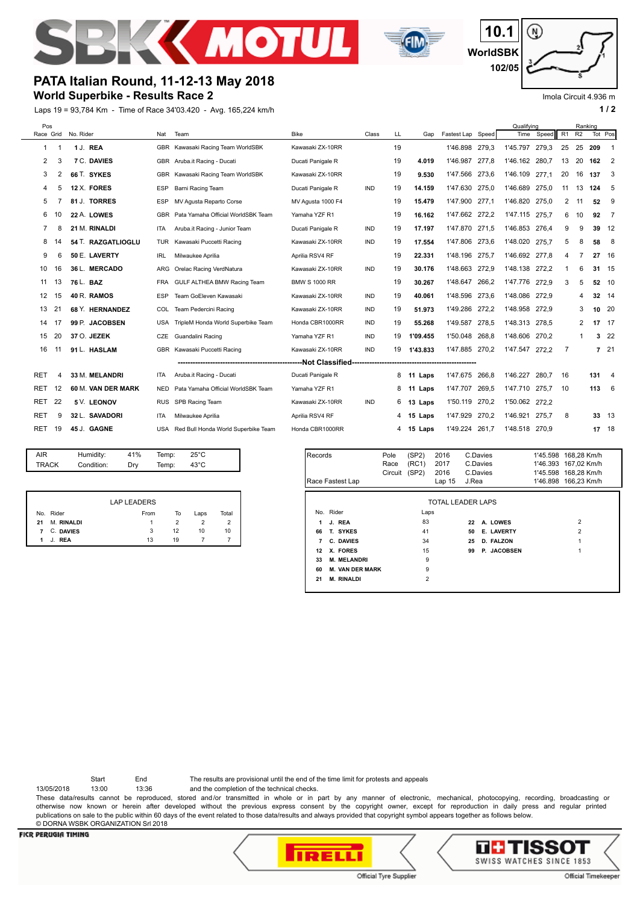





## **PATA Italian Round, 11-12-13 May 2018**

**World Superbike - Results Race 2**

Laps 19 = 93,784 Km - Time of Race 34'03.420 - Avg. 165,224 km/h **1 and 1 and 1 and 1 and 1 and 1 and 1 a** 1 and 1 and 1 and 1 and 1 and 1 and 1 and 1 and 1 and 1 and 1 and 1 and 1 and 1 and 1 and 1 and 1 and 1 and 1 and 1

Imola Circuit 4.936 m

| Pos        |                                                                   |                     |            |                                         |                      |            |    | Qualifying |                |       | Ranking        |       |    |    |         |                          |
|------------|-------------------------------------------------------------------|---------------------|------------|-----------------------------------------|----------------------|------------|----|------------|----------------|-------|----------------|-------|----|----|---------|--------------------------|
|            |                                                                   | Race Grid No. Rider | Nat        | Team                                    | <b>Bike</b>          | Class      | LL | Gap        | Fastest Lap    | Speed | Time           | Speed | R1 | R2 | Tot Pos |                          |
| 1          |                                                                   | 1 J. REA            | GBR        | Kawasaki Racing Team WorldSBK           | Kawasaki ZX-10RR     |            | 19 |            | 1'46.898       | 279,3 | 1'45.797       | 279.3 | 25 | 25 | 209     | -1                       |
| 2          | 3                                                                 | 7 C. DAVIES         |            | GBR Aruba.it Racing - Ducati            | Ducati Panigale R    |            | 19 | 4.019      | 1'46.987       | 277.8 | 1'46.162       | 280.7 | 13 | 20 | 162     | 2                        |
| 3          | 2                                                                 | 66 T. SYKES         | <b>GBR</b> | Kawasaki Racing Team WorldSBK           | Kawasaki ZX-10RR     |            | 19 | 9.530      | 1'47.566       | 273.6 | 1'46.109       | 277.1 | 20 | 16 | 137     | 3                        |
| 4          | 5                                                                 | 12 X. FORES         | <b>ESP</b> | Barni Racing Team                       | Ducati Panigale R    | <b>IND</b> | 19 | 14.159     | 1'47.630       | 275,0 | 1'46.689       | 275.0 | 11 | 13 | 124     | - 5                      |
| 5          |                                                                   | 81 J. TORRES        | <b>ESP</b> | MV Agusta Reparto Corse                 | MV Agusta 1000 F4    |            | 19 | 15.479     | 1'47.900 277.1 |       | 1'46.820       | 275.0 | 2  | 11 | 52      | 9                        |
| 6          | 10                                                                | 22 A. LOWES         | <b>GBR</b> | Pata Yamaha Official WorldSBK Team      | Yamaha YZF R1        |            | 19 | 16.162     | 1'47.662 272,2 |       | 1'47.115       | 275,7 | 6  | 10 | 92      | $\overline{7}$           |
| 7          | 8                                                                 | 21 M. RINALDI       | <b>ITA</b> | Aruba.it Racing - Junior Team           | Ducati Panigale R    | <b>IND</b> | 19 | 17.197     | 1'47.870       | 271,5 | 1'46.853       | 276,4 | 9  | 9  | 39      | 12                       |
| 8          | 14                                                                | 54 T. RAZGATLIOGLU  | <b>TUR</b> | Kawasaki Puccetti Racing                | Kawasaki ZX-10RR     | <b>IND</b> | 19 | 17.554     | 1'47.806       | 273,6 | 1'48.020       | 275,7 | 5  | 8  | 58      | 8                        |
| 9          | 6                                                                 | 50 E. LAVERTY       | <b>IRL</b> | Milwaukee Aprilia                       | Aprilia RSV4 RF      |            | 19 | 22.331     | 1'48.196       | 275,7 | 1'46.692       | 277.8 | 4  |    | 27      | 16                       |
| 10         | 16                                                                | 36 L. MERCADO       | ARG        | Orelac Racing VerdNatura                | Kawasaki ZX-10RR     | <b>IND</b> | 19 | 30.176     | 1'48.663 272,9 |       | 1'48.138       | 272.2 |    | 6  | 31 15   |                          |
| 11         | 13                                                                | 76 L. BAZ           | <b>FRA</b> | GULF ALTHEA BMW Racing Team             | <b>BMW S 1000 RR</b> |            | 19 | 30.267     | 1'48.647       | 266,2 | 1'47.776       | 272.9 | 3  | 5  | 52 10   |                          |
| 12         | 15                                                                | 40 R. RAMOS         | <b>ESP</b> | Team GoEleven Kawasaki                  | Kawasaki ZX-10RR     | <b>IND</b> | 19 | 40.061     | 1'48.596       | 273,6 | 1'48.086       | 272.9 |    | 4  | 32 14   |                          |
| 13         | 21                                                                | 68 Y. HERNANDEZ     | COL.       | Team Pedercini Racing                   | Kawasaki ZX-10RR     | <b>IND</b> | 19 | 51.973     | 1'49.286       | 272,2 | 1'48.958       | 272.9 |    | 3  | 10      | -20                      |
| 14         | 17                                                                | 99 P. JACOBSEN      | USA        | TripleM Honda World Superbike Team      | Honda CBR1000RR      | <b>IND</b> | 19 | 55.268     | 1'49.587       | 278.5 | 1'48.313       | 278.5 |    | 2  | 17      | 17                       |
| 15         | 20                                                                | 37 O. JEZEK         | CZE        | Guandalini Racing                       | Yamaha YZF R1        | <b>IND</b> | 19 | 1'09.455   | 1'50.048 268,8 |       | 1'48.606       | 270,2 |    | 1  |         | 3 <sup>22</sup>          |
| 16         |                                                                   | 91 L. HASLAM        | GBR        | Kawasaki Puccetti Racing                | Kawasaki ZX-10RR     | <b>IND</b> | 19 | 1'43.833   | 1'47.885 270.2 |       | 1'47.547 272.2 |       | 7  |    | 721     |                          |
|            | ----Not Classified---<br>---------<br>--------------------------- |                     |            |                                         |                      |            |    |            |                |       |                |       |    |    |         |                          |
| <b>RET</b> | 4                                                                 | 33 M. MELANDRI      | <b>ITA</b> | Aruba.it Racing - Ducati                | Ducati Panigale R    |            |    | 8 11 Laps  | 1'47.675       | 266,8 | 1'46.227       | 280,7 | 16 |    | 131     | $\overline{\phantom{a}}$ |
| <b>RET</b> | 12                                                                | 60 M. VAN DER MARK  | <b>NED</b> | Pata Yamaha Official WorldSBK Team      | Yamaha YZF R1        |            | 8  | 11 Laps    | 1'47.707       | 269,5 | 1'47.710       | 275.7 | 10 |    | 113     | 6                        |
| <b>RET</b> | 22                                                                | 5 V. LEONOV         | <b>RUS</b> | SPB Racing Team                         | Kawasaki ZX-10RR     | <b>IND</b> | 6  | 13 Laps    | 1'50.119       | 270.2 | 1'50.062       | 272.2 |    |    |         |                          |
| <b>RET</b> | 9                                                                 | 32 L. SAVADORI      | <b>ITA</b> | Milwaukee Aprilia                       | Aprilia RSV4 RF      |            | 4  | 15 Laps    | 1'47.929       | 270,2 | 1'46.921       | 275.7 | 8  |    | 33 13   |                          |
| <b>RET</b> | 19                                                                | 45 J. GAGNE         |            | USA Red Bull Honda World Superbike Team | Honda CBR1000RR      |            | 4  | 15 Laps    | 1'49.224 261.7 |       | 1'48.518       | 270.9 |    |    | 17 18   |                          |

| <b>AIR</b>   | Humidity:  | 41% | Temp: | $25^{\circ}$ C |  |
|--------------|------------|-----|-------|----------------|--|
| <b>TRACK</b> | Condition: | Drv | Temp: | $43^{\circ}$ C |  |
|              |            |     |       |                |  |

| LAP LEADERS |                   |      |    |      |       |  |  |
|-------------|-------------------|------|----|------|-------|--|--|
|             | No. Rider         | From | To | Laps | Total |  |  |
| 21          | <b>M. RINALDI</b> |      |    |      |       |  |  |
|             | 7 C. DAVIES       | 3    | 12 | 10   | 10    |  |  |
| 1           | <b>REA</b>        | 13   | 19 |      |       |  |  |

Start End The results are provisional until the end of the time limit for protests and appeals

13/05/2018 13:00 13:36 and the completion of the technical checks.

These data/results cannot be reproduced, stored and/or transmitted in whole or in part by any manner of electronic, mechanical, photocopying, recording, broadcasting or otherwise now known or herein after developed without the previous express consent by the copyright owner, except for reproduction in daily press and regular printed publications on sale to the public within 60 days of the event related to those data/results and always provided that copyright symbol appears together as follows below. © DORNA WSBK ORGANIZATION Srl 2018

## **FICR PERUGIA TIMING**